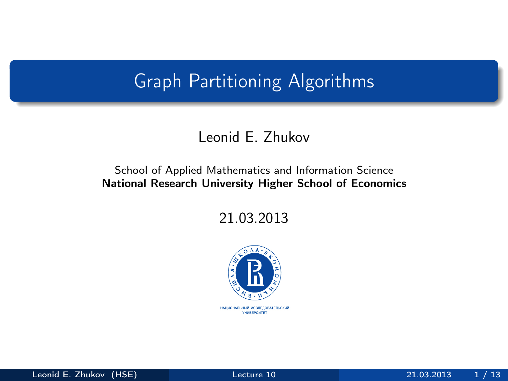### Graph Partitioning Algorithms

#### Leonid E. Zhukov

#### School of Applied Mathematics and Information Science National Research University Higher School of Economics

21.03.2013

<span id="page-0-0"></span>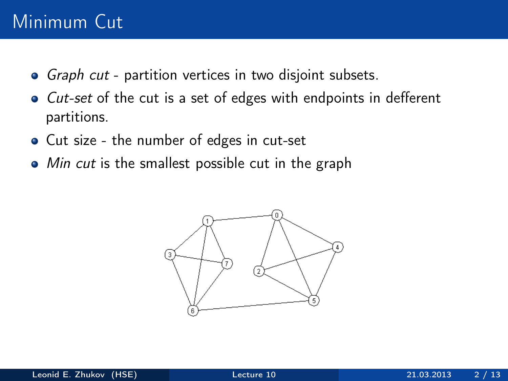## Minimum Cut

- Graph cut partition vertices in two disjoint subsets.
- Cut-set of the cut is a set of edges with endpoints in defferent partitions.
- Cut size the number of edges in cut-set
- Min cut is the smallest possible cut in the graph

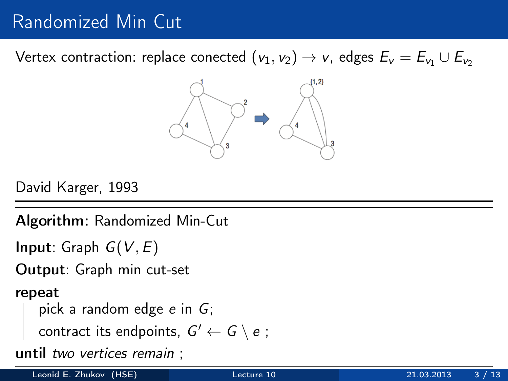Vertex contraction: replace conected  $(v_1, v_2) \rightarrow v$ , edges  $E_v = E_{v_1} \cup E_{v_2}$ 



David Karger, 1993

Algorithm: Randomized Min-Cut

**Input:** Graph  $G(V, E)$ 

Output: Graph min cut-set

repeat

```
pick a random edge e in G;
```
contract its endpoints,  $G' \leftarrow G \setminus e$ ;

until two vertices remain ;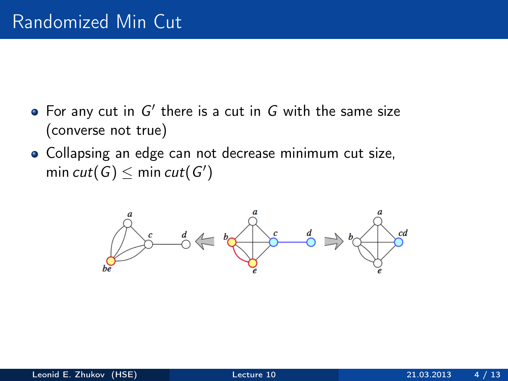- For any cut in  $G'$  there is a cut in  $G$  with the same size (converse not true)
- Collapsing an edge can not decrease minimum cut size, min  $cut(G) \leq$  min  $cut(G')$

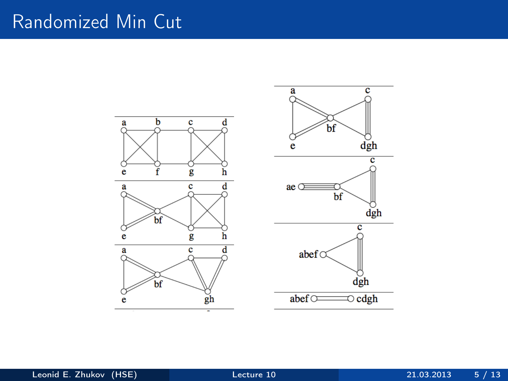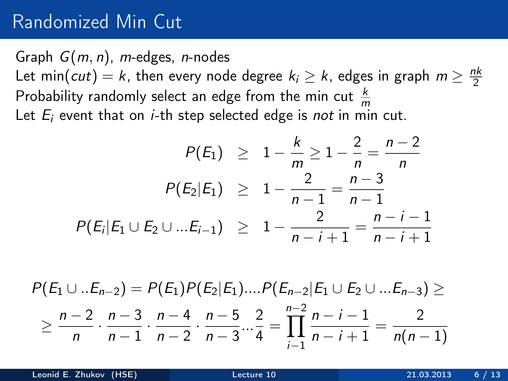Graph  $G(m, n)$ , m-edges, n-nodes Let min(*cut*) = k, then every node degree  $k_i \geq k$ , edges in graph  $m \geq \frac{nk}{2}$ 2 Probability randomly select an edge from the min cut  $\frac{k}{m}$ Let  $E_i$  event that on *i*-th step selected edge is *not* in min cut.

$$
P(E_1) \geq 1 - \frac{k}{m} \geq 1 - \frac{2}{n} = \frac{n-2}{n}
$$

$$
P(E_2|E_1) \geq 1 - \frac{2}{n-1} = \frac{n-3}{n-1}
$$

$$
P(E_i|E_1 \cup E_2 \cup ... E_{i-1}) \geq 1 - \frac{2}{n-i+1} = \frac{n-i-1}{n-i+1}
$$

$$
P(E_1 \cup ... E_{n-2}) = P(E_1)P(E_2|E_1)....P(E_{n-2}|E_1 \cup E_2 \cup ... E_{n-3}) \ge
$$
  
 
$$
\ge \frac{n-2}{n} \cdot \frac{n-3}{n-1} \cdot \frac{n-4}{n-2} \cdot \frac{n-5}{n-3} \cdot \frac{2}{4} = \prod_{i=1}^{n-2} \frac{n-i-1}{n-i+1} = \frac{2}{n(n-1)}
$$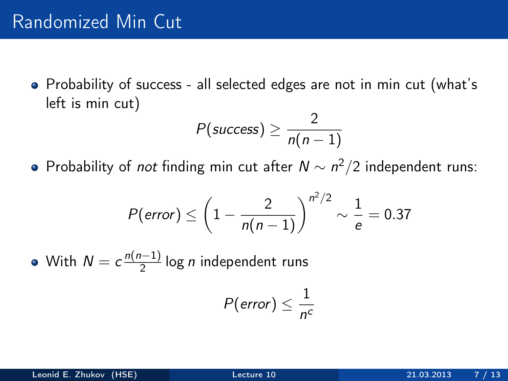Probability of success - all selected edges are not in min cut (what's left is min cut)

$$
P(success) \geq \frac{2}{n(n-1)}
$$

Probability of *not* finding min cut after  $N \sim n^2/2$  independent runs:

$$
P(\text{error}) \le \left(1 - \frac{2}{n(n-1)}\right)^{n^2/2} \sim \frac{1}{e} = 0.37
$$

With  $N = c \frac{n(n-1)}{2}$  $\frac{1}{2}$ log *n* independent runs

$$
P(\text{error}) \leq \frac{1}{n^c}
$$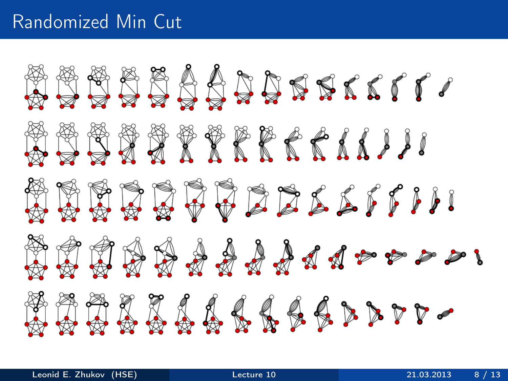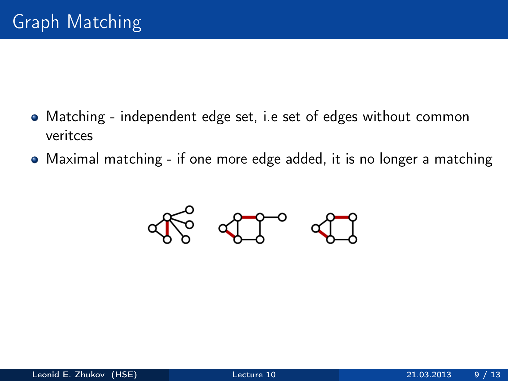- Matching independent edge set, i.e set of edges without common veritces
- Maximal matching if one more edge added, it is no longer a matching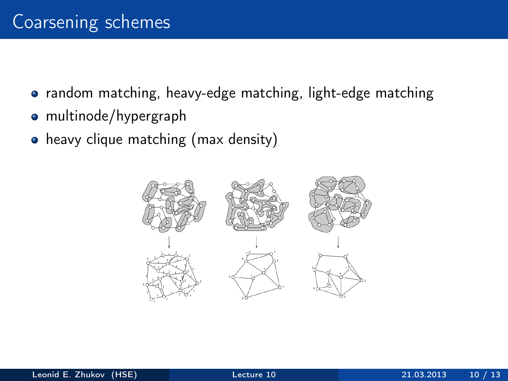- random matching, heavy-edge matching, light-edge matching
- multinode/hypergraph
- heavy clique matching (max density)

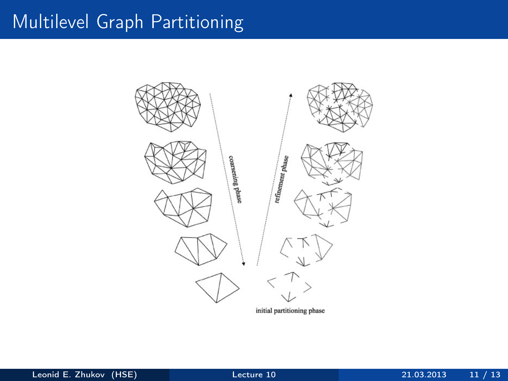## Multilevel Graph Partitioning

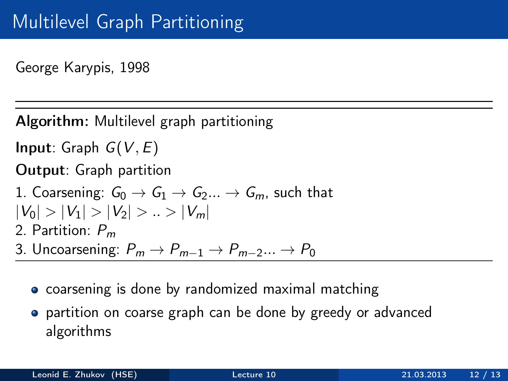George Karypis, 1998

Algorithm: Multilevel graph partitioning

**Input:** Graph  $G(V, E)$ 

Output: Graph partition

- 1. Coarsening:  $G_0 \rightarrow G_1 \rightarrow G_2 ... \rightarrow G_m$ , such that  $|V_0| > |V_1| > |V_2| > ... > |V_m|$ 2. Partition:  $P_m$ 3. Uncoarsening:  $P_m \to P_{m-1} \to P_{m-2} \dots \to P_0$ 
	- **•** coarsening is done by randomized maximal matching
	- partition on coarse graph can be done by greedy or advanced algorithms